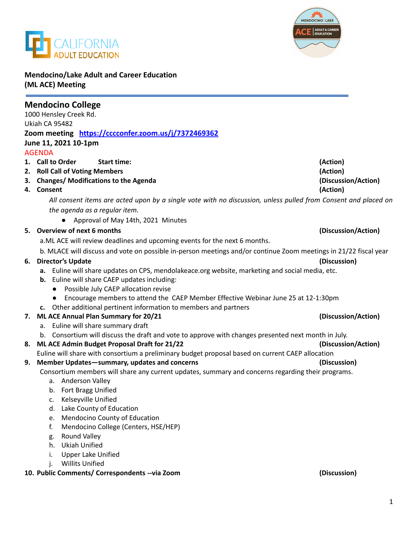



**Mendocino/Lake Adult and Career Education (ML ACE) Meeting**

| <b>Mendocino College</b>                                                                                         |                     |
|------------------------------------------------------------------------------------------------------------------|---------------------|
| 1000 Hensley Creek Rd.                                                                                           |                     |
| Ukiah CA 95482                                                                                                   |                     |
| Zoom meeting https://cccconfer.zoom.us/j/7372469362                                                              |                     |
| June 11, 2021 10-1pm                                                                                             |                     |
| <b>AGENDA</b>                                                                                                    |                     |
| 1. Call to Order<br><b>Start time:</b>                                                                           | (Action)            |
| 2. Roll Call of Voting Members                                                                                   | (Action)            |
| 3. Changes/ Modifications to the Agenda                                                                          | (Discussion/Action) |
| 4. Consent                                                                                                       | (Action)            |
| All consent items are acted upon by a single vote with no discussion, unless pulled from Consent and placed on   |                     |
| the agenda as a regular item.                                                                                    |                     |
| Approval of May 14th, 2021 Minutes                                                                               |                     |
| 5. Overview of next 6 months                                                                                     | (Discussion/Action) |
| a.ML ACE will review deadlines and upcoming events for the next 6 months.                                        |                     |
| b. MLACE will discuss and vote on possible in-person meetings and/or continue Zoom meetings in 21/22 fiscal year |                     |
| 6. Director's Update                                                                                             | (Discussion)        |
| a. Euline will share updates on CPS, mendolakeace.org website, marketing and social media, etc.                  |                     |
| <b>b.</b> Euline will share CAEP updates including:                                                              |                     |
| Possible July CAEP allocation revise                                                                             |                     |
| Encourage members to attend the CAEP Member Effective Webinar June 25 at 12-1:30pm                               |                     |
| c. Other additional pertinent information to members and partners                                                |                     |
| ML ACE Annual Plan Summary for 20/21<br>7.                                                                       | (Discussion/Action) |
| a. Euline will share summary draft                                                                               |                     |
| b. Consortium will discuss the draft and vote to approve with changes presented next month in July.              |                     |
| 8. ML ACE Admin Budget Proposal Draft for 21/22                                                                  | (Discussion/Action) |
| Euline will share with consortium a preliminary budget proposal based on current CAEP allocation                 |                     |
| 9. Member Updates-summary, updates and concerns                                                                  | (Discussion)        |
| Consortium members will share any current updates, summary and concerns regarding their programs.                |                     |
| a. Anderson Valley                                                                                               |                     |
| b. Fort Bragg Unified                                                                                            |                     |
| Kelseyville Unified<br>c.                                                                                        |                     |
| Lake County of Education<br>d.                                                                                   |                     |
| Mendocino County of Education<br>e.                                                                              |                     |
| f.<br>Mendocino College (Centers, HSE/HEP)                                                                       |                     |
| <b>Round Valley</b><br>g.                                                                                        |                     |
| <b>Ukiah Unified</b><br>h.                                                                                       |                     |
| <b>Upper Lake Unified</b><br>i.                                                                                  |                     |
| <b>Willits Unified</b><br>10 Public Comments/ Correspondents -- via Zoom                                         | (Discussion)        |
|                                                                                                                  |                     |

## **10. Public Comments/ Correspondents --via Zoom (Discussion)**